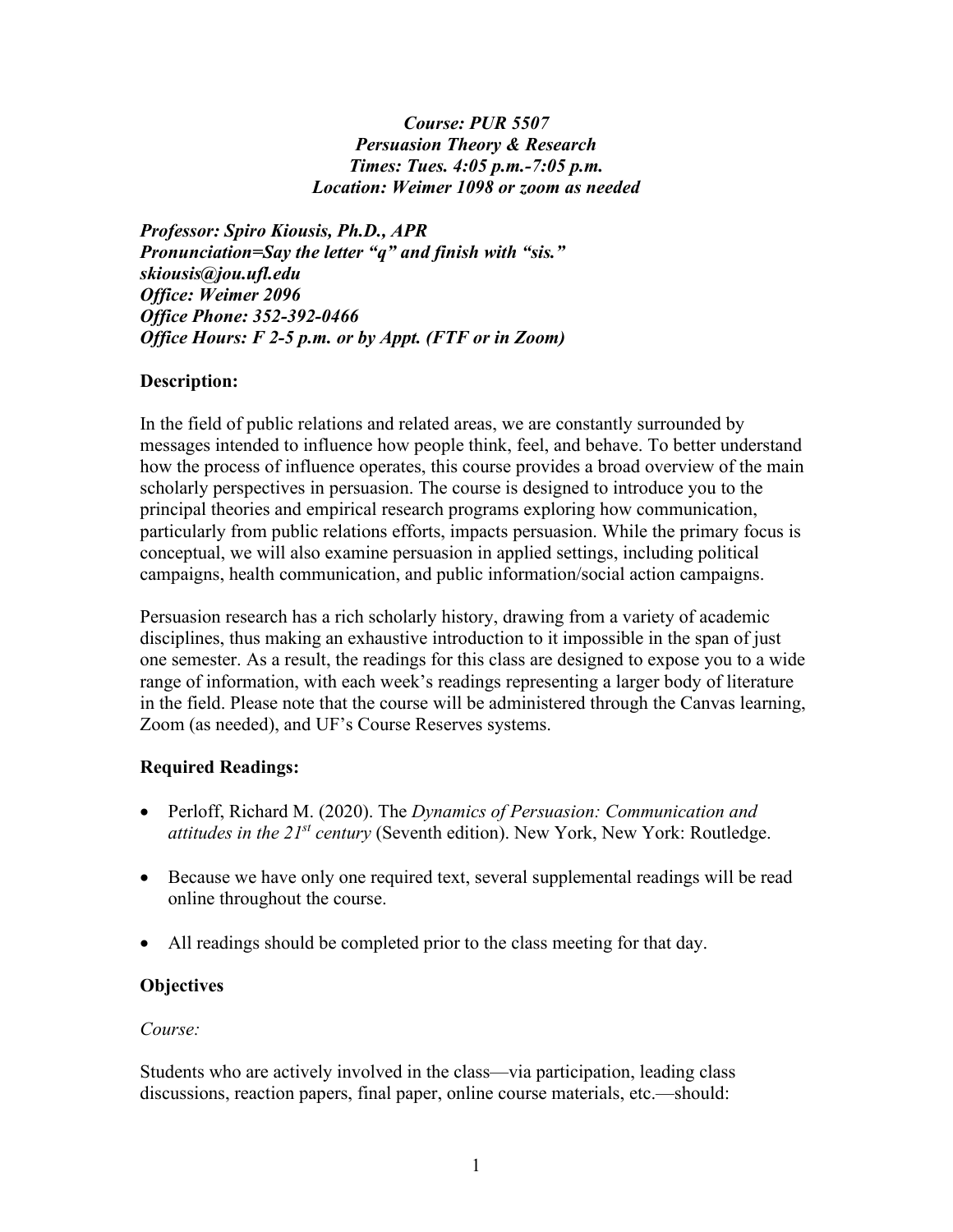#### *Course: PUR 5507 Persuasion Theory & Research Times: Tues. 4:05 p.m.-7:05 p.m. Location: Weimer 1098 or zoom as needed*

*Professor: Spiro Kiousis, Ph.D., APR Pronunciation=Say the letter "q" and finish with "sis." skiousis@jou.ufl.edu Office: Weimer 2096 Office Phone: 352-392-0466 Office Hours: F 2-5 p.m. or by Appt. (FTF or in Zoom)*

### **Description:**

In the field of public relations and related areas, we are constantly surrounded by messages intended to influence how people think, feel, and behave. To better understand how the process of influence operates, this course provides a broad overview of the main scholarly perspectives in persuasion. The course is designed to introduce you to the principal theories and empirical research programs exploring how communication, particularly from public relations efforts, impacts persuasion. While the primary focus is conceptual, we will also examine persuasion in applied settings, including political campaigns, health communication, and public information/social action campaigns.

Persuasion research has a rich scholarly history, drawing from a variety of academic disciplines, thus making an exhaustive introduction to it impossible in the span of just one semester. As a result, the readings for this class are designed to expose you to a wide range of information, with each week's readings representing a larger body of literature in the field. Please note that the course will be administered through the Canvas learning, Zoom (as needed), and UF's Course Reserves systems.

### **Required Readings:**

- Perloff, Richard M. (2020). The *Dynamics of Persuasion: Communication and attitudes in the 21st century* (Seventh edition). New York, New York: Routledge.
- Because we have only one required text, several supplemental readings will be read online throughout the course.
- All readings should be completed prior to the class meeting for that day.

### **Objectives**

#### *Course:*

Students who are actively involved in the class—via participation, leading class discussions, reaction papers, final paper, online course materials, etc.—should: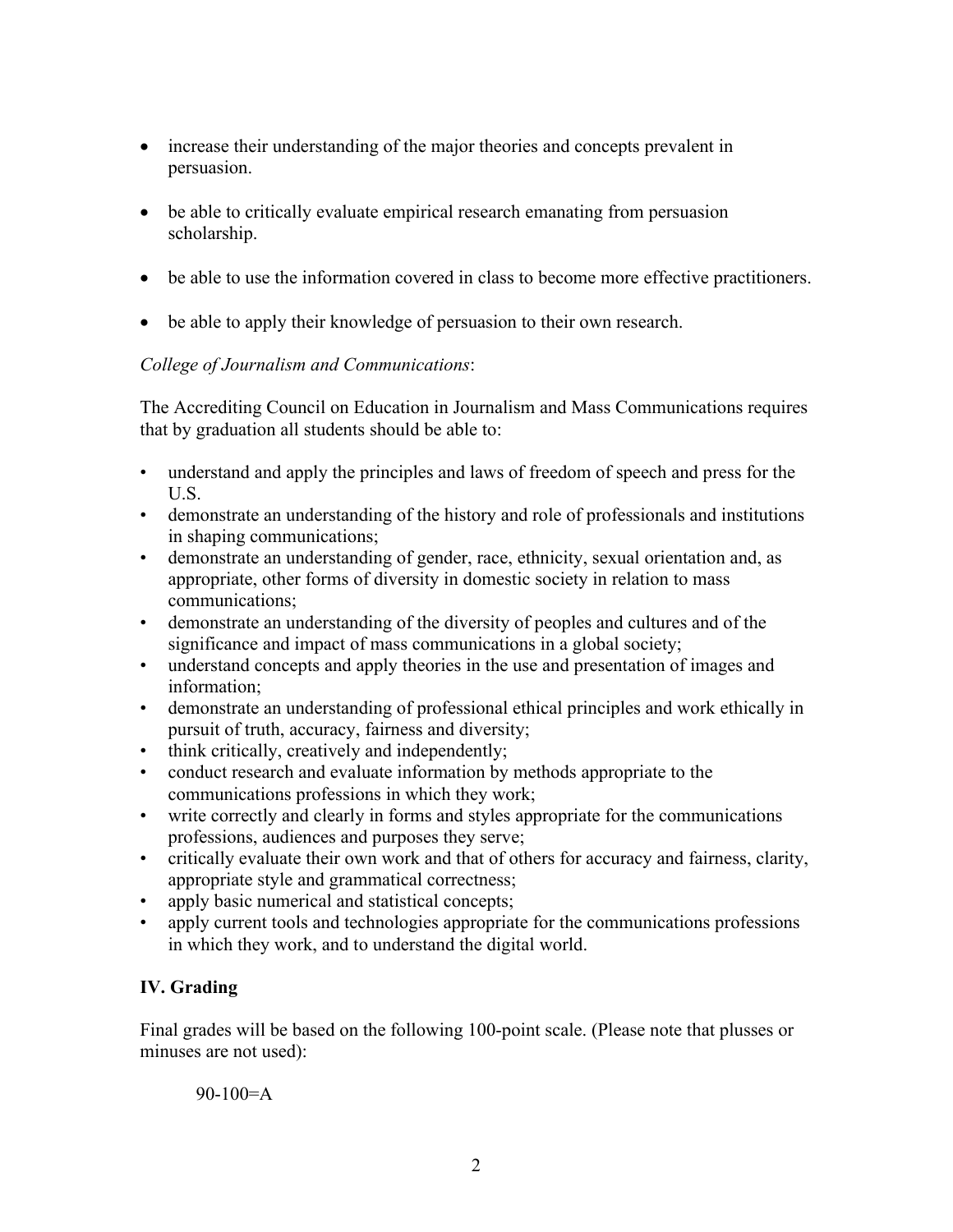- increase their understanding of the major theories and concepts prevalent in persuasion.
- be able to critically evaluate empirical research emanating from persuasion scholarship.
- be able to use the information covered in class to become more effective practitioners.
- be able to apply their knowledge of persuasion to their own research.

## *College of Journalism and Communications*:

The Accrediting Council on Education in Journalism and Mass Communications requires that by graduation all students should be able to:

- understand and apply the principles and laws of freedom of speech and press for the U.S.
- demonstrate an understanding of the history and role of professionals and institutions in shaping communications;
- demonstrate an understanding of gender, race, ethnicity, sexual orientation and, as appropriate, other forms of diversity in domestic society in relation to mass communications;
- demonstrate an understanding of the diversity of peoples and cultures and of the significance and impact of mass communications in a global society;
- understand concepts and apply theories in the use and presentation of images and information;
- demonstrate an understanding of professional ethical principles and work ethically in pursuit of truth, accuracy, fairness and diversity;
- think critically, creatively and independently;
- conduct research and evaluate information by methods appropriate to the communications professions in which they work;
- write correctly and clearly in forms and styles appropriate for the communications professions, audiences and purposes they serve;
- critically evaluate their own work and that of others for accuracy and fairness, clarity, appropriate style and grammatical correctness;
- apply basic numerical and statistical concepts;
- apply current tools and technologies appropriate for the communications professions in which they work, and to understand the digital world.

## **IV. Grading**

Final grades will be based on the following 100-point scale. (Please note that plusses or minuses are not used):

 $90-100=A$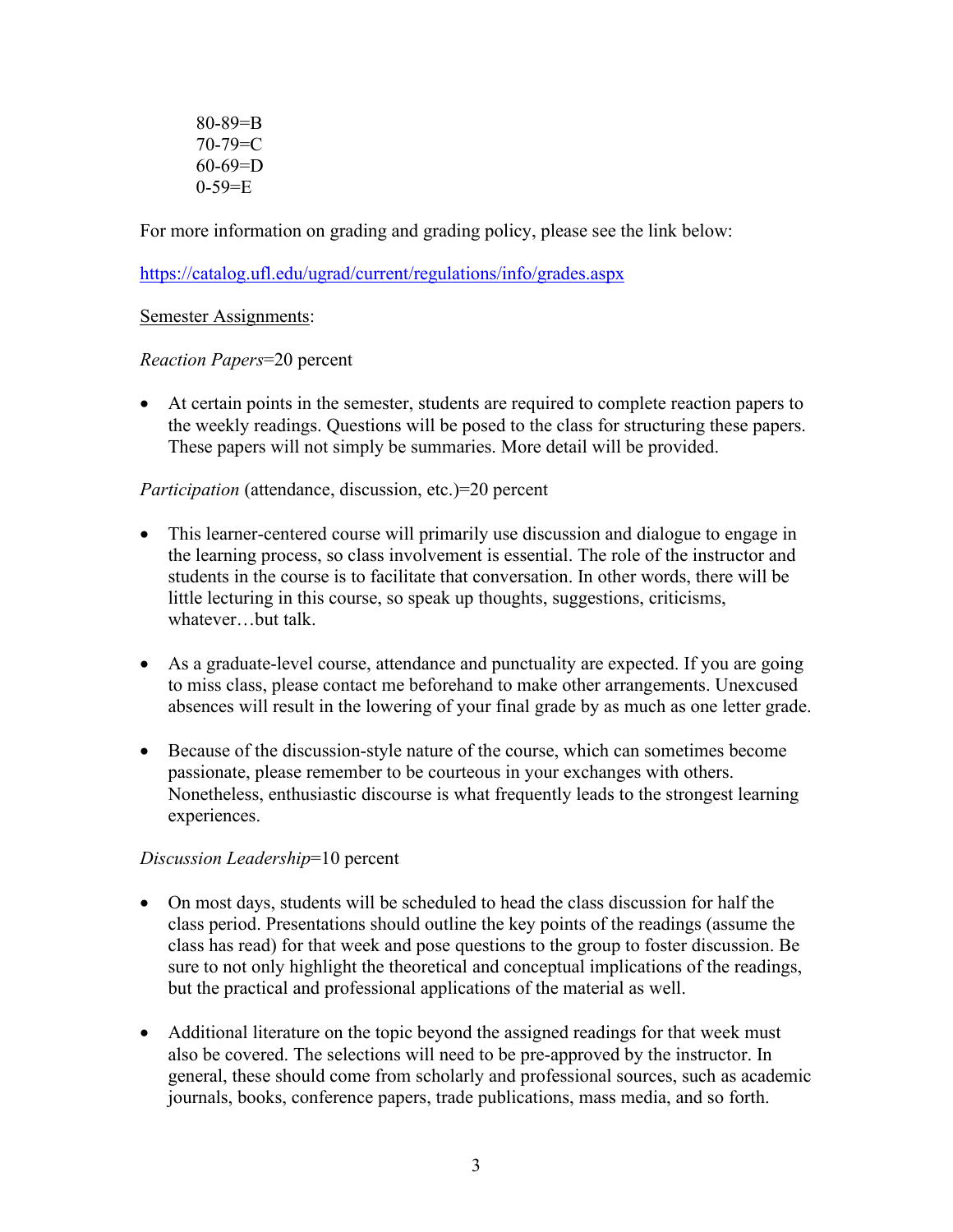80-89=B  $70 - 79 = C$  $60-69=D$  $0 - 59 = E$ 

For more information on grading and grading policy, please see the link below:

<https://catalog.ufl.edu/ugrad/current/regulations/info/grades.aspx>

Semester Assignments:

*Reaction Papers*=20 percent

• At certain points in the semester, students are required to complete reaction papers to the weekly readings. Questions will be posed to the class for structuring these papers. These papers will not simply be summaries. More detail will be provided.

*Participation* (attendance, discussion, etc.)=20 percent

- This learner-centered course will primarily use discussion and dialogue to engage in the learning process, so class involvement is essential. The role of the instructor and students in the course is to facilitate that conversation. In other words, there will be little lecturing in this course, so speak up thoughts, suggestions, criticisms, whatever…but talk.
- As a graduate-level course, attendance and punctuality are expected. If you are going to miss class, please contact me beforehand to make other arrangements. Unexcused absences will result in the lowering of your final grade by as much as one letter grade.
- Because of the discussion-style nature of the course, which can sometimes become passionate, please remember to be courteous in your exchanges with others. Nonetheless, enthusiastic discourse is what frequently leads to the strongest learning experiences.

#### *Discussion Leadership*=10 percent

- On most days, students will be scheduled to head the class discussion for half the class period. Presentations should outline the key points of the readings (assume the class has read) for that week and pose questions to the group to foster discussion. Be sure to not only highlight the theoretical and conceptual implications of the readings, but the practical and professional applications of the material as well.
- Additional literature on the topic beyond the assigned readings for that week must also be covered. The selections will need to be pre-approved by the instructor. In general, these should come from scholarly and professional sources, such as academic journals, books, conference papers, trade publications, mass media, and so forth.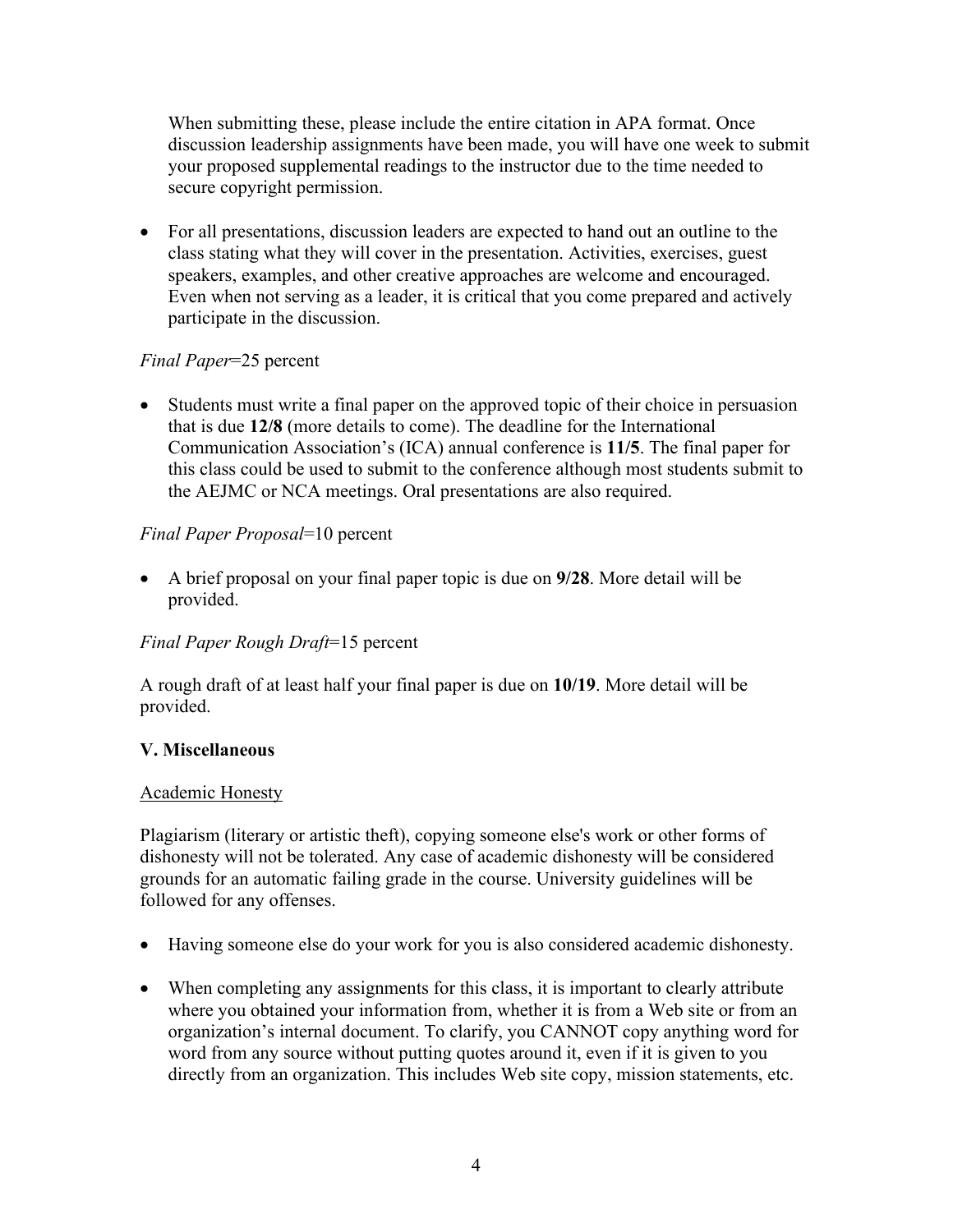When submitting these, please include the entire citation in APA format. Once discussion leadership assignments have been made, you will have one week to submit your proposed supplemental readings to the instructor due to the time needed to secure copyright permission.

• For all presentations, discussion leaders are expected to hand out an outline to the class stating what they will cover in the presentation. Activities, exercises, guest speakers, examples, and other creative approaches are welcome and encouraged. Even when not serving as a leader, it is critical that you come prepared and actively participate in the discussion.

## *Final Paper*=25 percent

• Students must write a final paper on the approved topic of their choice in persuasion that is due **12/8** (more details to come). The deadline for the International Communication Association's (ICA) annual conference is **11/5**. The final paper for this class could be used to submit to the conference although most students submit to the AEJMC or NCA meetings. Oral presentations are also required.

## *Final Paper Proposal*=10 percent

• A brief proposal on your final paper topic is due on **9/28**. More detail will be provided.

### *Final Paper Rough Draft*=15 percent

A rough draft of at least half your final paper is due on **10/19**. More detail will be provided.

### **V. Miscellaneous**

### Academic Honesty

Plagiarism (literary or artistic theft), copying someone else's work or other forms of dishonesty will not be tolerated. Any case of academic dishonesty will be considered grounds for an automatic failing grade in the course. University guidelines will be followed for any offenses.

- Having someone else do your work for you is also considered academic dishonesty.
- When completing any assignments for this class, it is important to clearly attribute where you obtained your information from, whether it is from a Web site or from an organization's internal document. To clarify, you CANNOT copy anything word for word from any source without putting quotes around it, even if it is given to you directly from an organization. This includes Web site copy, mission statements, etc.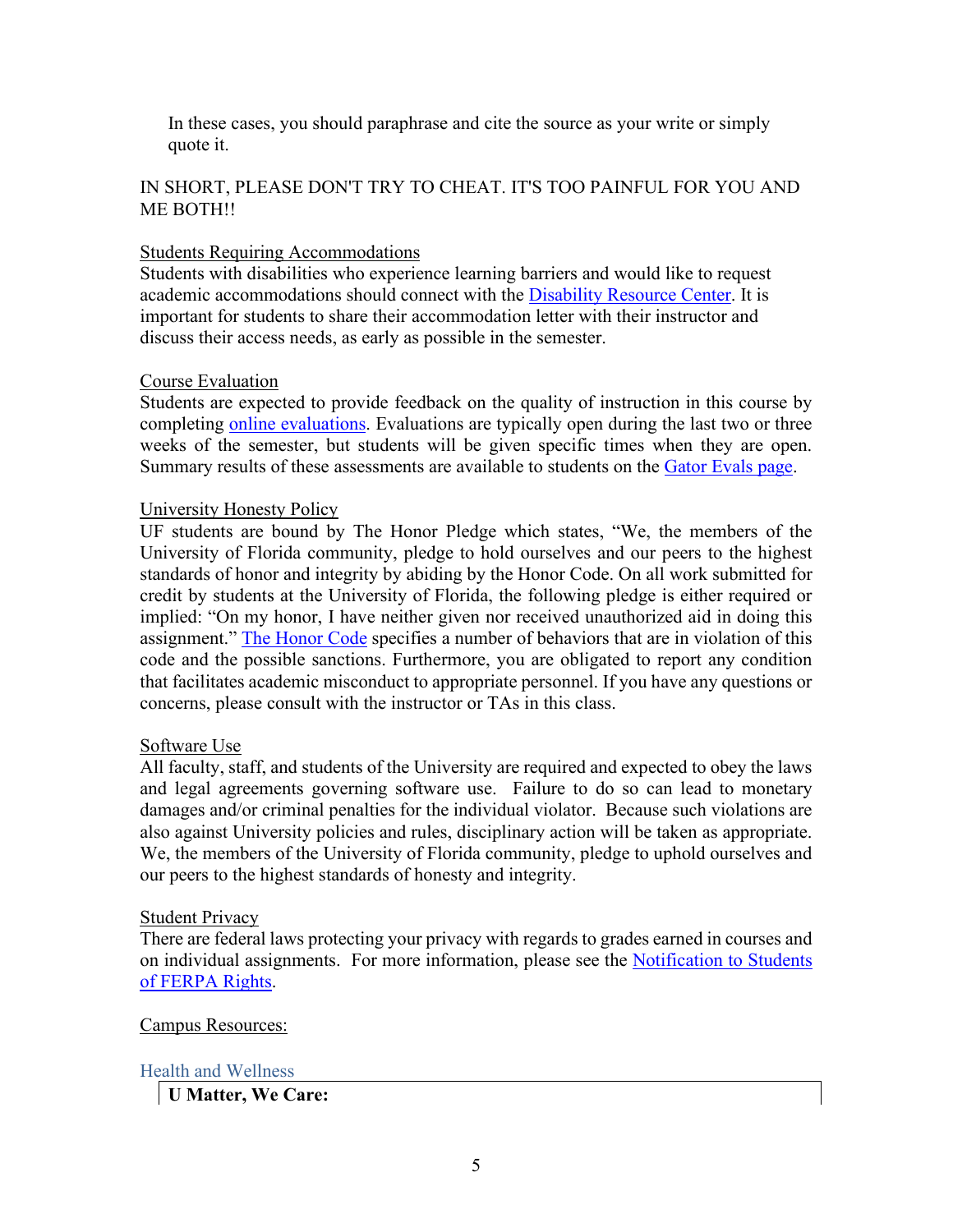In these cases, you should paraphrase and cite the source as your write or simply quote it.

### IN SHORT, PLEASE DON'T TRY TO CHEAT. IT'S TOO PAINFUL FOR YOU AND ME BOTH!!

#### Students Requiring Accommodations

Students with disabilities who experience learning barriers and would like to request academic accommodations should connect with the [Disability Resource Center.](https://disability.ufl.edu/students/get-started/) It is important for students to share their accommodation letter with their instructor and discuss their access needs, as early as possible in the semester.

#### Course Evaluation

Students are expected to provide feedback on the quality of instruction in this course by completing [online evaluations.](https://gatorevals.aa.ufl.edu/) Evaluations are typically open during the last two or three weeks of the semester, but students will be given specific times when they are open. Summary results of these assessments are available to students on the [Gator Evals page.](https://gatorevals.aa.ufl.edu/)

#### University Honesty Policy

UF students are bound by The Honor Pledge which states, "We, the members of the University of Florida community, pledge to hold ourselves and our peers to the highest standards of honor and integrity by abiding by the Honor Code. On all work submitted for credit by students at the University of Florida, the following pledge is either required or implied: "On my honor, I have neither given nor received unauthorized aid in doing this assignment." [The Honor Code](https://sccr.dso.ufl.edu/process/student-conduct-code/) specifies a number of behaviors that are in violation of this code and the possible sanctions. Furthermore, you are obligated to report any condition that facilitates academic misconduct to appropriate personnel. If you have any questions or concerns, please consult with the instructor or TAs in this class.

#### Software Use

All faculty, staff, and students of the University are required and expected to obey the laws and legal agreements governing software use. Failure to do so can lead to monetary damages and/or criminal penalties for the individual violator. Because such violations are also against University policies and rules, disciplinary action will be taken as appropriate. We, the members of the University of Florida community, pledge to uphold ourselves and our peers to the highest standards of honesty and integrity.

#### Student Privacy

There are federal laws protecting your privacy with regards to grades earned in courses and on individual assignments. For more information, please see the [Notification to Students](https://registrar.ufl.edu/catalog0910/policies/regulationferpa.html)  [of FERPA Rights.](https://registrar.ufl.edu/catalog0910/policies/regulationferpa.html)

#### Campus Resources:

#### Health and Wellness

**U Matter, We Care:**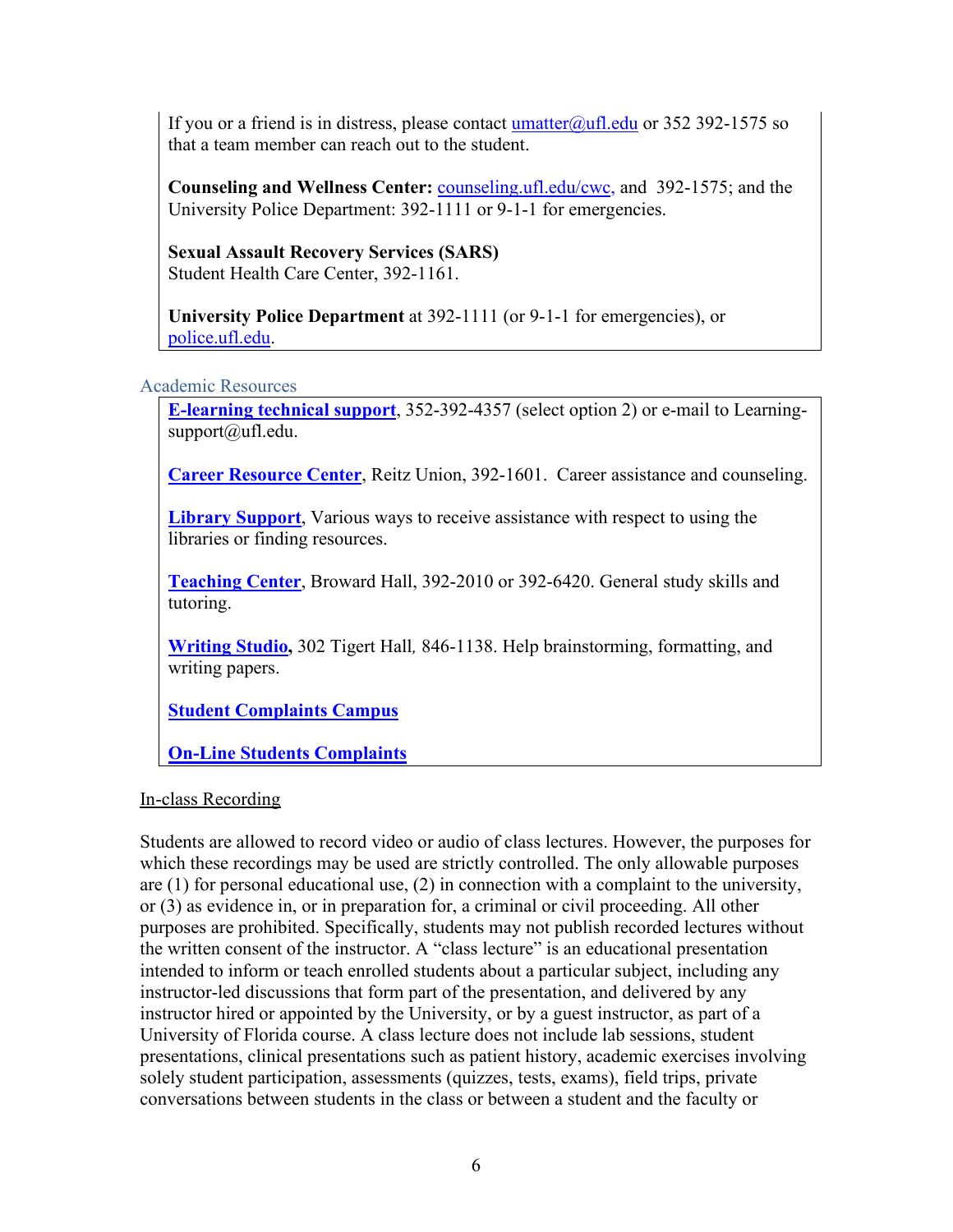If you or a friend is in distress, please contact  $\frac{\text{umatter}(\partial_\mu\text{ufl.edu})}{\text{ufl.edu}}$  or 352 392-1575 so that a team member can reach out to the student.

**Counseling and Wellness Center:** [counseling.ufl.edu/cwc,](http://www.counseling.ufl.edu/cwc) and 392-1575; and the University Police Department: 392-1111 or 9-1-1 for emergencies.

**Sexual Assault Recovery Services (SARS)**  Student Health Care Center, 392-1161.

**University Police Department** at 392-1111 (or 9-1-1 for emergencies), or [police.ufl.edu.](http://www.police.ufl.edu/)

#### Academic Resources

**[E-learning technical support](https://elearning.ufl.edu/)**, 352-392-4357 (select option 2) or e-mail to Learningsupport@ufl.edu.

**[Career Resource Center](https://www.crc.ufl.edu/)**, Reitz Union, 392-1601. Career assistance and counseling.

**[Library Support](http://cms.uflib.ufl.edu/ask)**, Various ways to receive assistance with respect to using the libraries or finding resources.

**[Teaching Center](https://teachingcenter.ufl.edu/)**, Broward Hall, 392-2010 or 392-6420. General study skills and tutoring.

**[Writing Studio,](https://writing.ufl.edu/writing-studio/)** 302 Tigert Hall*,* 846-1138. Help brainstorming, formatting, and writing papers.

**[Student Complaints Campus](https://www.dso.ufl.edu/documents/UF_Complaints_policy.pdf)**

**[On-Line Students Complaints](http://www.distance.ufl.edu/student-complaint-process)**

### In-class Recording

Students are allowed to record video or audio of class lectures. However, the purposes for which these recordings may be used are strictly controlled. The only allowable purposes are (1) for personal educational use, (2) in connection with a complaint to the university, or (3) as evidence in, or in preparation for, a criminal or civil proceeding. All other purposes are prohibited. Specifically, students may not publish recorded lectures without the written consent of the instructor. A "class lecture" is an educational presentation intended to inform or teach enrolled students about a particular subject, including any instructor-led discussions that form part of the presentation, and delivered by any instructor hired or appointed by the University, or by a guest instructor, as part of a University of Florida course. A class lecture does not include lab sessions, student presentations, clinical presentations such as patient history, academic exercises involving solely student participation, assessments (quizzes, tests, exams), field trips, private conversations between students in the class or between a student and the faculty or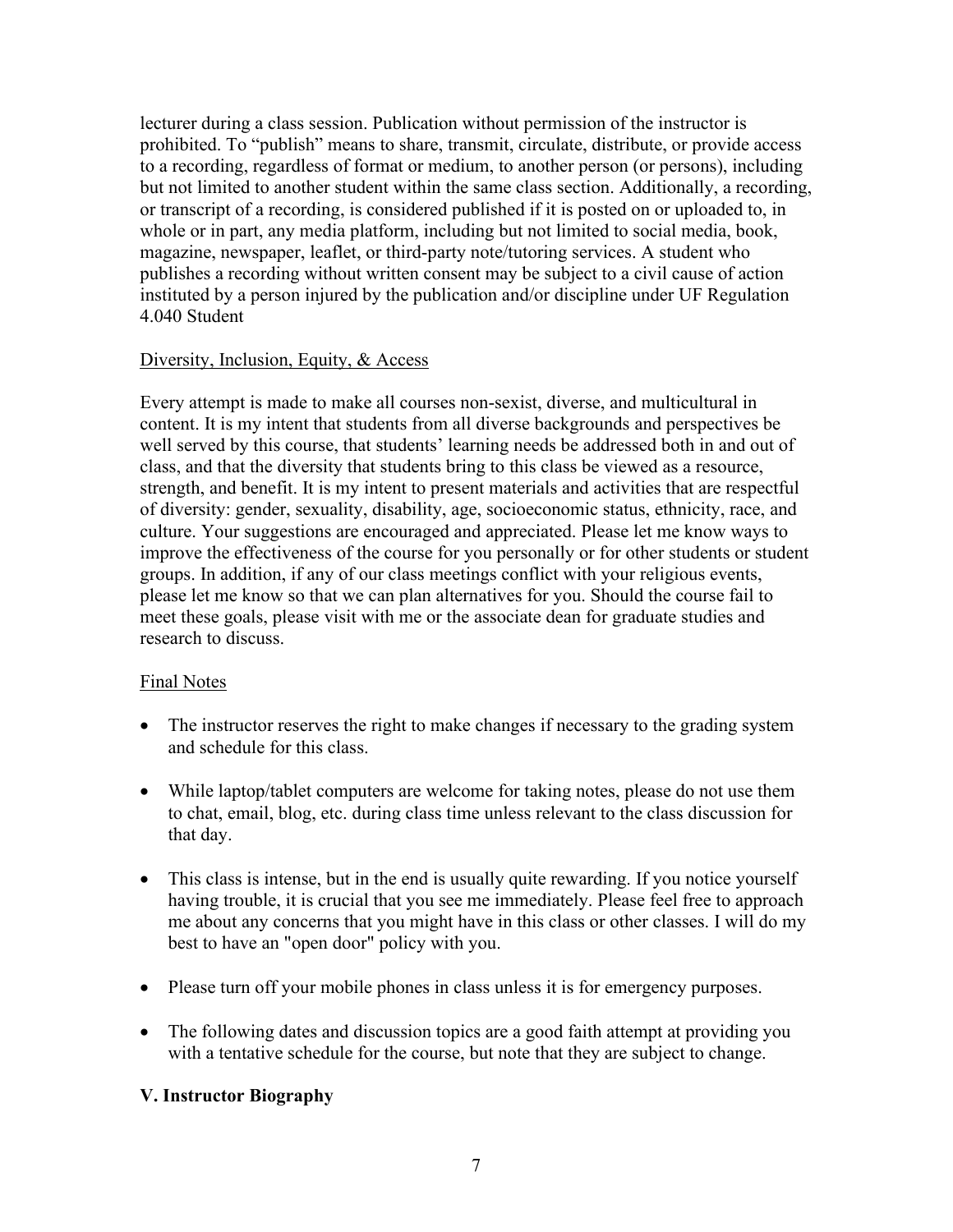lecturer during a class session. Publication without permission of the instructor is prohibited. To "publish" means to share, transmit, circulate, distribute, or provide access to a recording, regardless of format or medium, to another person (or persons), including but not limited to another student within the same class section. Additionally, a recording, or transcript of a recording, is considered published if it is posted on or uploaded to, in whole or in part, any media platform, including but not limited to social media, book, magazine, newspaper, leaflet, or third-party note/tutoring services. A student who publishes a recording without written consent may be subject to a civil cause of action instituted by a person injured by the publication and/or discipline under UF Regulation 4.040 Student

#### Diversity, Inclusion, Equity, & Access

Every attempt is made to make all courses non-sexist, diverse, and multicultural in content. It is my intent that students from all diverse backgrounds and perspectives be well served by this course, that students' learning needs be addressed both in and out of class, and that the diversity that students bring to this class be viewed as a resource, strength, and benefit. It is my intent to present materials and activities that are respectful of diversity: gender, sexuality, disability, age, socioeconomic status, ethnicity, race, and culture. Your suggestions are encouraged and appreciated. Please let me know ways to improve the effectiveness of the course for you personally or for other students or student groups. In addition, if any of our class meetings conflict with your religious events, please let me know so that we can plan alternatives for you. Should the course fail to meet these goals, please visit with me or the associate dean for graduate studies and research to discuss.

### Final Notes

- The instructor reserves the right to make changes if necessary to the grading system and schedule for this class.
- While laptop/tablet computers are welcome for taking notes, please do not use them to chat, email, blog, etc. during class time unless relevant to the class discussion for that day.
- This class is intense, but in the end is usually quite rewarding. If you notice yourself having trouble, it is crucial that you see me immediately. Please feel free to approach me about any concerns that you might have in this class or other classes. I will do my best to have an "open door" policy with you.
- Please turn off your mobile phones in class unless it is for emergency purposes.
- The following dates and discussion topics are a good faith attempt at providing you with a tentative schedule for the course, but note that they are subject to change.

## **V. Instructor Biography**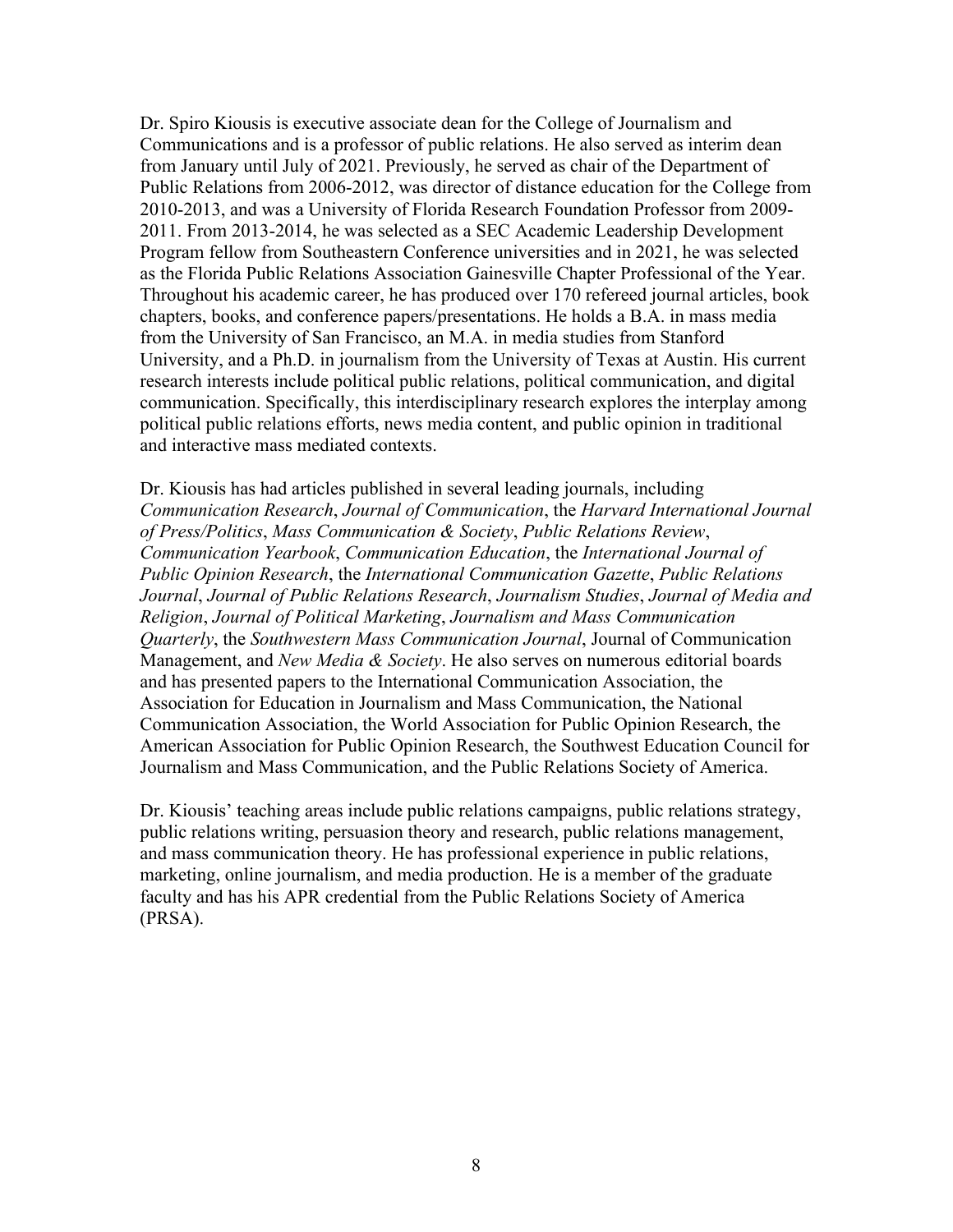Dr. Spiro Kiousis is executive associate dean for the College of Journalism and Communications and is a professor of public relations. He also served as interim dean from January until July of 2021. Previously, he served as chair of the Department of Public Relations from 2006-2012, was director of distance education for the College from 2010-2013, and was a University of Florida Research Foundation Professor from 2009- 2011. From 2013-2014, he was selected as a SEC Academic Leadership Development Program fellow from Southeastern Conference universities and in 2021, he was selected as the Florida Public Relations Association Gainesville Chapter Professional of the Year. Throughout his academic career, he has produced over 170 refereed journal articles, book chapters, books, and conference papers/presentations. He holds a B.A. in mass media from the University of San Francisco, an M.A. in media studies from Stanford University, and a Ph.D. in journalism from the University of Texas at Austin. His current research interests include political public relations, political communication, and digital communication. Specifically, this interdisciplinary research explores the interplay among political public relations efforts, news media content, and public opinion in traditional and interactive mass mediated contexts.

Dr. Kiousis has had articles published in several leading journals, including *Communication Research*, *Journal of Communication*, the *Harvard International Journal of Press/Politics*, *Mass Communication & Society*, *Public Relations Review*, *Communication Yearbook*, *Communication Education*, the *International Journal of Public Opinion Research*, the *International Communication Gazette*, *Public Relations Journal*, *Journal of Public Relations Research*, *Journalism Studies*, *Journal of Media and Religion*, *Journal of Political Marketing*, *Journalism and Mass Communication Quarterly*, the *Southwestern Mass Communication Journal*, Journal of Communication Management, and *New Media & Society*. He also serves on numerous editorial boards and has presented papers to the International Communication Association, the Association for Education in Journalism and Mass Communication, the National Communication Association, the World Association for Public Opinion Research, the American Association for Public Opinion Research, the Southwest Education Council for Journalism and Mass Communication, and the Public Relations Society of America.

Dr. Kiousis' teaching areas include public relations campaigns, public relations strategy, public relations writing, persuasion theory and research, public relations management, and mass communication theory. He has professional experience in public relations, marketing, online journalism, and media production. He is a member of the graduate faculty and has his APR credential from the Public Relations Society of America (PRSA).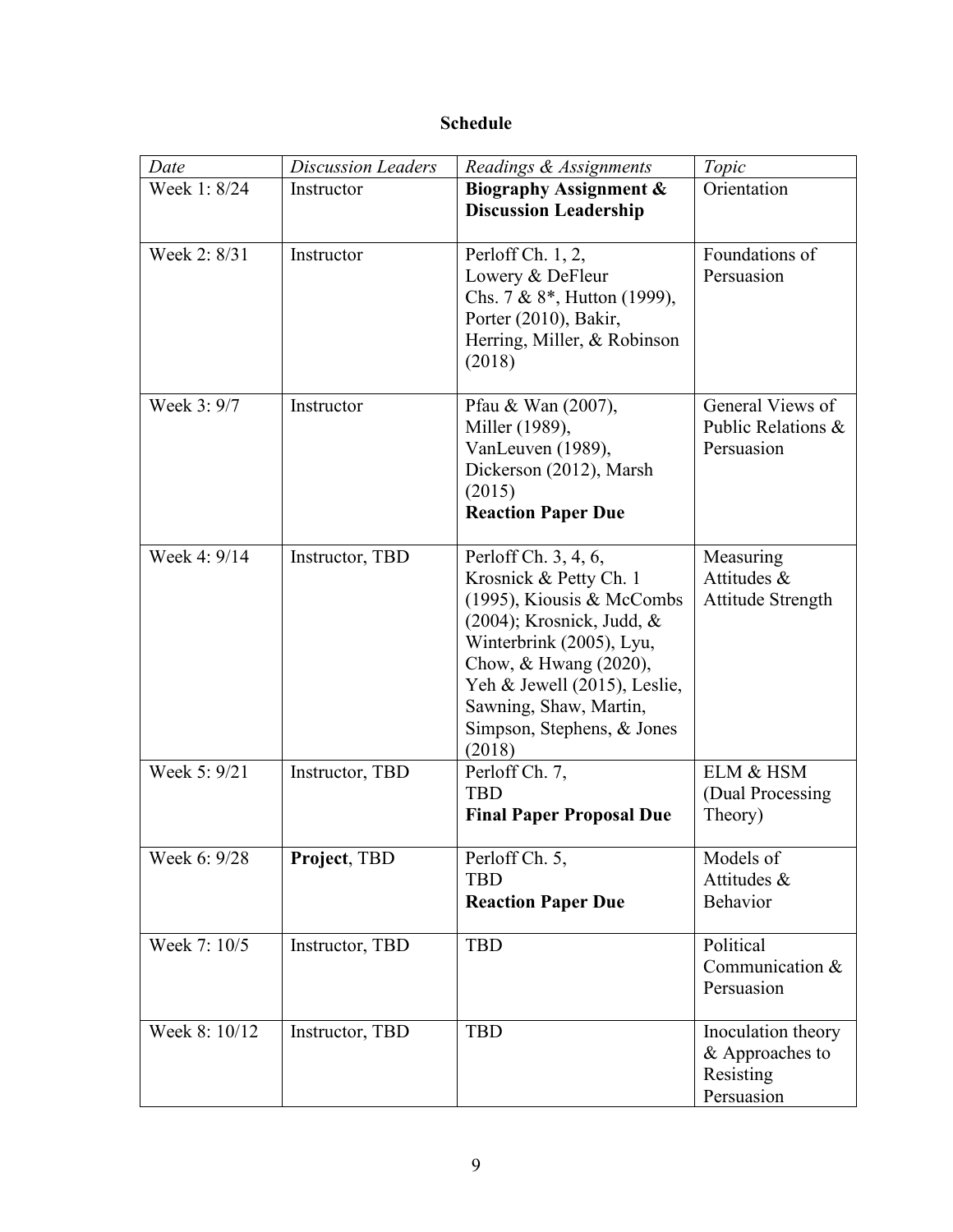# **Schedule**

| Date          | <b>Discussion Leaders</b> | Readings & Assignments                                                                                                                                                                                                                                             | Topic                                                            |
|---------------|---------------------------|--------------------------------------------------------------------------------------------------------------------------------------------------------------------------------------------------------------------------------------------------------------------|------------------------------------------------------------------|
| Week 1: 8/24  | Instructor                | <b>Biography Assignment &amp;</b><br><b>Discussion Leadership</b>                                                                                                                                                                                                  | Orientation                                                      |
| Week 2: 8/31  | Instructor                | Perloff Ch. 1, 2,<br>Lowery & DeFleur<br>Chs. 7 & 8*, Hutton (1999),<br>Porter (2010), Bakir,<br>Herring, Miller, & Robinson<br>(2018)                                                                                                                             | Foundations of<br>Persuasion                                     |
| Week 3: 9/7   | Instructor                | Pfau & Wan (2007),<br>Miller (1989),<br>VanLeuven (1989),<br>Dickerson (2012), Marsh<br>(2015)<br><b>Reaction Paper Due</b>                                                                                                                                        | General Views of<br>Public Relations &<br>Persuasion             |
| Week 4: 9/14  | Instructor, TBD           | Perloff Ch. 3, 4, 6,<br>Krosnick & Petty Ch. 1<br>(1995), Kiousis & McCombs<br>$(2004)$ ; Krosnick, Judd, &<br>Winterbrink (2005), Lyu,<br>Chow, & Hwang (2020),<br>Yeh & Jewell (2015), Leslie,<br>Sawning, Shaw, Martin,<br>Simpson, Stephens, & Jones<br>(2018) | Measuring<br>Attitudes &<br>Attitude Strength                    |
| Week 5: 9/21  | Instructor, TBD           | Perloff Ch. 7,<br><b>TBD</b><br><b>Final Paper Proposal Due</b>                                                                                                                                                                                                    | ELM & HSM<br>(Dual Processing)<br>Theory)                        |
| Week 6: 9/28  | Project, TBD              | Perloff Ch. 5,<br><b>TBD</b><br><b>Reaction Paper Due</b>                                                                                                                                                                                                          | Models of<br>Attitudes &<br>Behavior                             |
| Week 7: 10/5  | Instructor, TBD           | <b>TBD</b>                                                                                                                                                                                                                                                         | Political<br>Communication &<br>Persuasion                       |
| Week 8: 10/12 | Instructor, TBD           | <b>TBD</b>                                                                                                                                                                                                                                                         | Inoculation theory<br>& Approaches to<br>Resisting<br>Persuasion |